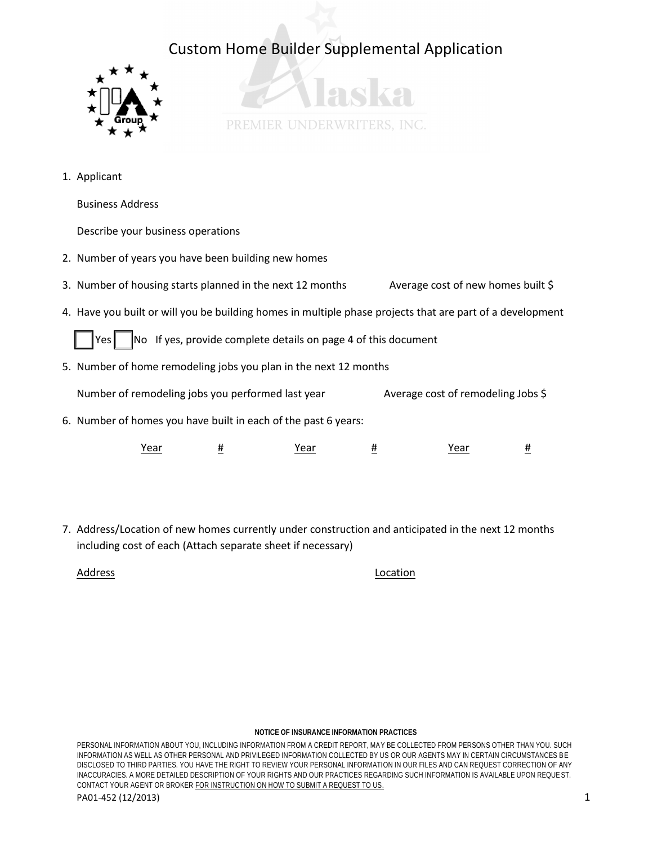



1. Applicant

Business Address

Describe your business operations

- 2. Number of years you have been building new homes
- 3. Number of housing starts planned in the next 12 months Average cost of new homes built  $\zeta$
- 4. Have you built or will you be building homes in multiple phase projects that are part of a development

Yes  $\vert$  No If yes, provide complete details on page 4 of this document

5. Number of home remodeling jobs you plan in the next 12 months

Number of remodeling jobs you performed last year Average cost of remodeling Jobs \$

6. Number of homes you have built in each of the past 6 years:

| --<br>י בי<br>cai<br>caı<br>. .<br>____<br>___ | -а.<br>___ |
|------------------------------------------------|------------|
|------------------------------------------------|------------|

7. Address/Location of new homes currently under construction and anticipated in the next 12 months including cost of each (Attach separate sheet if necessary)

Address Location

## **NOTICE OF INSURANCE INFORMATION PRACTICES**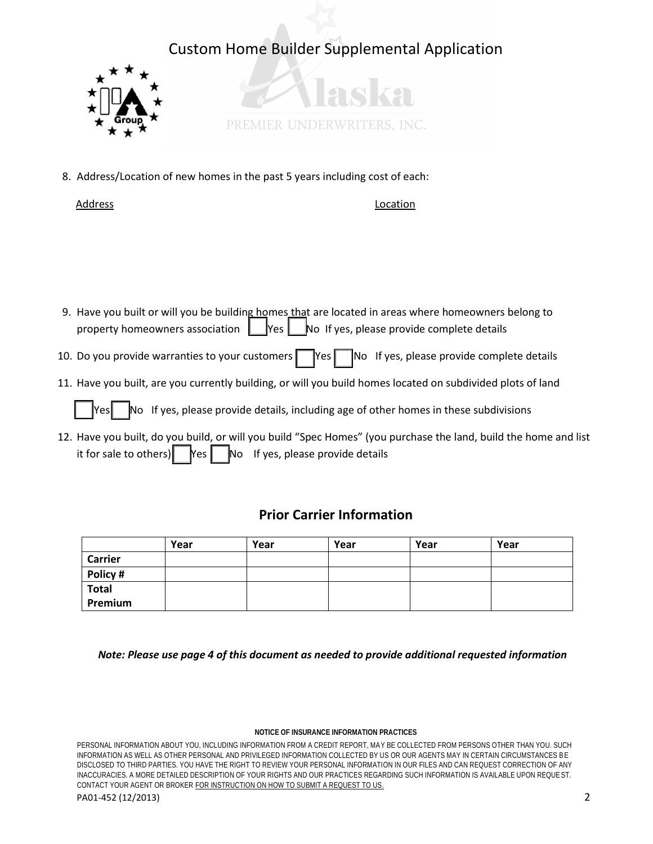



8. Address/Location of new homes in the past 5 years including cost of each:

Address **Location** 

- 9. Have you built or will you be building homes that are located in areas where homeowners belong to property homeowners association  $\Box$  Yes  $\Box$  No If yes, please provide complete details
- 10. Do you provide warranties to your customers  $\Box$  Yes  $\Box$  No If yes, please provide complete details
- 11. Have you built, are you currently building, or will you build homes located on subdivided plots of land

 $\mathbb N$ o If yes, please provide details, including age of other homes in these subdivisions

12. Have you built, do you build, or will you build "Spec Homes" (you purchase the land, build the home and list it for sale to others)  $\parallel$  Yes  $\parallel$  No If yes, please provide details

## **Prior Carrier Information**

|                | Year | Year | Year | Year | Year |
|----------------|------|------|------|------|------|
| <b>Carrier</b> |      |      |      |      |      |
| Policy #       |      |      |      |      |      |
| <b>Total</b>   |      |      |      |      |      |
| Premium        |      |      |      |      |      |

 *Note: Please use page 4 of this document as needed to provide additional requested information* 

## **NOTICE OF INSURANCE INFORMATION PRACTICES**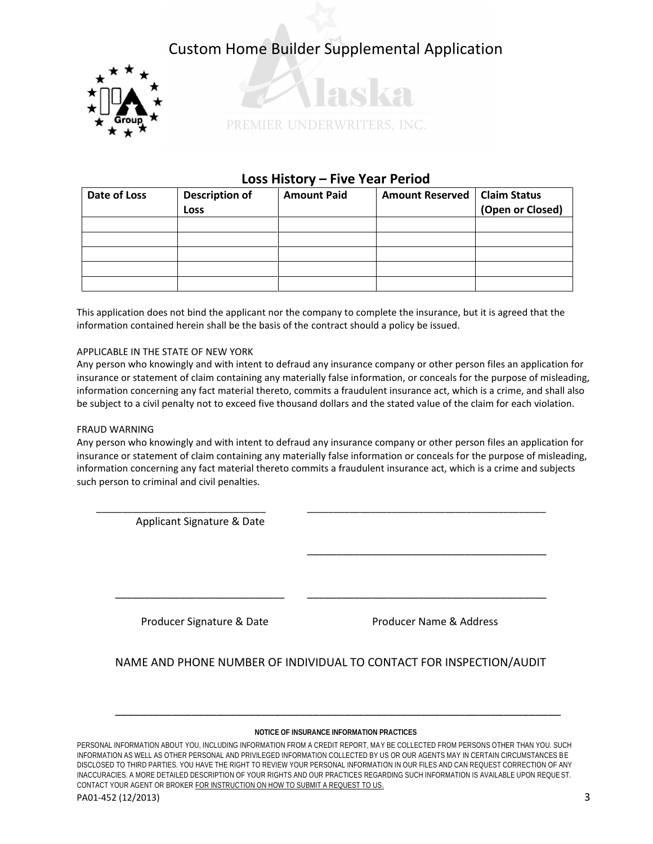



## **Loss History – Five Year Period**

| Date of Loss | <b>Description of</b><br>Loss | <b>Amount Paid</b> | <b>Amount Reserved</b> | <b>Claim Status</b><br>(Open or Closed) |
|--------------|-------------------------------|--------------------|------------------------|-----------------------------------------|
|              |                               |                    |                        |                                         |
|              |                               |                    |                        |                                         |
|              |                               |                    |                        |                                         |
|              |                               |                    |                        |                                         |
|              |                               |                    |                        |                                         |

This application does not bind the applicant nor the company to complete the insurance, but it is agreed that the information contained herein shall be the basis of the contract should a policy be issued.

## APPLICABLE IN THE STATE OF NEW YORK

Any person who knowingly and with intent to defraud any insurance company or other person files an application for insurance or statement of claim containing any materially false information, or conceals for the purpose of misleading, information concerning any fact material thereto, commits a fraudulent insurance act, which is a crime, and shall also be subject to a civil penalty not to exceed five thousand dollars and the stated value of the claim for each violation.

## FRAUD WARNING

Any person who knowingly and with intent to defraud any insurance company or other person files an application for insurance or statement of claim containing any materially false information or conceals for the purpose of misleading, information concerning any fact material thereto commits a fraudulent insurance act, which is a crime and subjects such person to criminal and civil penalties.

 $\frac{1}{2}$  ,  $\frac{1}{2}$  ,  $\frac{1}{2}$  ,  $\frac{1}{2}$  ,  $\frac{1}{2}$  ,  $\frac{1}{2}$  ,  $\frac{1}{2}$  ,  $\frac{1}{2}$  ,  $\frac{1}{2}$  ,  $\frac{1}{2}$  ,  $\frac{1}{2}$  ,  $\frac{1}{2}$  ,  $\frac{1}{2}$  ,  $\frac{1}{2}$  ,  $\frac{1}{2}$  ,  $\frac{1}{2}$  ,  $\frac{1}{2}$  ,  $\frac{1}{2}$  ,  $\frac{1$  Applicant Signature & Date  $\frac{1}{2}$  ,  $\frac{1}{2}$  ,  $\frac{1}{2}$  ,  $\frac{1}{2}$  ,  $\frac{1}{2}$  ,  $\frac{1}{2}$  ,  $\frac{1}{2}$  ,  $\frac{1}{2}$  ,  $\frac{1}{2}$  ,  $\frac{1}{2}$  ,  $\frac{1}{2}$  ,  $\frac{1}{2}$  ,  $\frac{1}{2}$  ,  $\frac{1}{2}$  ,  $\frac{1}{2}$  ,  $\frac{1}{2}$  ,  $\frac{1}{2}$  ,  $\frac{1}{2}$  ,  $\frac{1$  \_\_\_\_\_\_\_\_\_\_\_\_\_\_\_\_\_\_\_\_\_\_\_\_\_\_\_\_\_ \_\_\_\_\_\_\_\_\_\_\_\_\_\_\_\_\_\_\_\_\_\_\_\_\_\_\_\_\_\_\_\_\_\_\_\_\_\_\_\_\_ Producer Signature & Date **Producer Name & Address** 

NAME AND PHONE NUMBER OF INDIVIDUAL TO CONTACT FOR INSPECTION/AUDIT

## **NOTICE OF INSURANCE INFORMATION PRACTICES**

\_\_\_\_\_\_\_\_\_\_\_\_\_\_\_\_\_\_\_\_\_\_\_\_\_\_\_\_\_\_\_\_\_\_\_\_\_\_\_\_\_\_\_\_\_\_\_\_\_\_\_\_\_\_\_\_\_\_\_\_\_\_\_\_\_\_\_\_\_\_